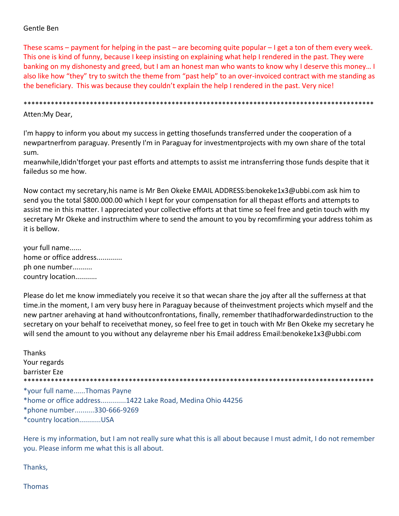# Gentle Ben

These scams – payment for helping in the past – are becoming quite popular – I get a ton of them every week. This one is kind of funny, because I keep insisting on explaining what help I rendered in the past. They were banking on my dishonesty and greed, but I am an honest man who wants to know why I deserve this money… I also like how "they" try to switch the theme from "past help" to an over‐invoiced contract with me standing as the beneficiary. This was because they couldn't explain the help I rendered in the past. Very nice!

\*\*\*\*\*\*\*\*\*\*\*\*\*\*\*\*\*\*\*\*\*\*\*\*\*\*\*\*\*\*\*\*\*\*\*\*\*\*\*\*\*\*\*\*\*\*\*\*\*\*\*\*\*\*\*\*\*\*\*\*\*\*\*\*\*\*\*\*\*\*\*\*\*\*\*\*\*\*\*\*\*\*\*\*\*\*\*\*\*\*

Atten:My Dear,

I'm happy to inform you about my success in getting thosefunds transferred under the cooperation of a newpartnerfrom paraguay. Presently I'm in Paraguay for investmentprojects with my own share of the total sum.

meanwhile,Ididn'tforget your past efforts and attempts to assist me intransferring those funds despite that it failedus so me how.

Now contact my secretary,his name is Mr Ben Okeke EMAIL ADDRESS:benokeke1x3@ubbi.com ask him to send you the total \$800.000.00 which I kept for your compensation for all thepast efforts and attempts to assist me in this matter. I appreciated your collective efforts at that time so feel free and getin touch with my secretary Mr Okeke and instructhim where to send the amount to you by recomfirming your address tohim as it is bellow.

your full name...... home or office address............. ph one number.......... country location...........

Please do let me know immediately you receive it so that wecan share the joy after all the sufferness at that time.in the moment, I am very busy here in Paraguay because of theinvestment projects which myself and the new partner arehaving at hand withoutconfrontations, finally, remember thatIhadforwardedinstruction to the secretary on your behalf to receivethat money, so feel free to get in touch with Mr Ben Okeke my secretary he will send the amount to you without any delayreme nber his Email address Email:benokeke1x3@ubbi.com

Thanks Your regards barrister Eze \*\*\*\*\*\*\*\*\*\*\*\*\*\*\*\*\*\*\*\*\*\*\*\*\*\*\*\*\*\*\*\*\*\*\*\*\*\*\*\*\*\*\*\*\*\*\*\*\*\*\*\*\*\*\*\*\*\*\*\*\*\*\*\*\*\*\*\*\*\*\*\*\*\*\*\*\*\*\*\*\*\*\*\*\*\*\*\*\*\* \*your full name......Thomas Payne \*home or office address.............1422 Lake Road, Medina Ohio 44256 \*phone number..........330‐666‐9269 \*country location...........USA

Here is my information, but I am not really sure what this is all about because I must admit, I do not remember you. Please inform me what this is all about.

Thanks,

Thomas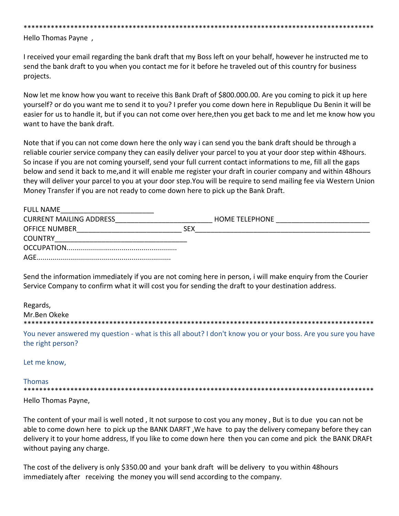\*\*\*\*\*\*\*\*\*\*\*\*\*\*\*\*\*\*\*\*\*\*\*\*\*\*\*\*\*\*\*\*\*\*\*\*\*\*\*\*\*\*\*\*\*\*\*\*\*\*\*\*\*\*\*\*\*\*\*\*\*\*\*\*\*\*\*\*\*\*\*\*\*\*\*\*\*\*\*\*\*\*\*\*\*\*\*\*\*\*

Hello Thomas Payne ,

I received your email regarding the bank draft that my Boss left on your behalf, however he instructed me to send the bank draft to you when you contact me for it before he traveled out of this country for business projects.

Now let me know how you want to receive this Bank Draft of \$800.000.00. Are you coming to pick it up here yourself? or do you want me to send it to you? I prefer you come down here in Republique Du Benin it will be easier for us to handle it, but if you can not come over here,then you get back to me and let me know how you want to have the bank draft.

Note that if you can not come down here the only way i can send you the bank draft should be through a reliable courier service company they can easily deliver your parcel to you at your door step within 48hours. So incase if you are not coming yourself, send your full current contact informations to me, fill all the gaps below and send it back to me,and it will enable me register your draft in courier company and within 48hours they will deliver your parcel to you at your door step.You will be require to send mailing fee via Western Union Money Transfer if you are not ready to come down here to pick up the Bank Draft.

| <b>FULL NAME</b>               |     |                       |
|--------------------------------|-----|-----------------------|
| <b>CURRENT MAILING ADDRESS</b> |     | <b>HOME TELEPHONE</b> |
| <b>OFFICE NUMBER</b>           | SFX |                       |
| <b>COUNTRY</b>                 |     |                       |
|                                |     |                       |
| AGF.                           |     |                       |

Send the information immediately if you are not coming here in person, i will make enquiry from the Courier Service Company to confirm what it will cost you for sending the draft to your destination address.

| Regards,                                                                                                                           |
|------------------------------------------------------------------------------------------------------------------------------------|
| Mr.Ben Okeke                                                                                                                       |
|                                                                                                                                    |
| You never answered my question - what is this all about? I don't know you or your boss. Are you sure you have<br>the right person? |

Let me know,

Thomas

\*\*\*\*\*\*\*\*\*\*\*\*\*\*\*\*\*\*\*\*\*\*\*\*\*\*\*\*\*\*\*\*\*\*\*\*\*\*\*\*\*\*\*\*\*\*\*\*\*\*\*\*\*\*\*\*\*\*\*\*\*\*\*\*\*\*\*\*\*\*\*\*\*\*\*\*\*\*\*\*\*\*\*\*\*\*\*\*\*\*

Hello Thomas Payne,

The content of your mail is well noted , It not surpose to cost you any money , But is to due you can not be able to come down here to pick up the BANK DARFT ,We have to pay the delivery comepany before they can delivery it to your home address, If you like to come down here then you can come and pick the BANK DRAFt without paying any charge.

The cost of the delivery is only \$350.00 and your bank draft will be delivery to you within 48hours immediately after receiving the money you will send according to the company.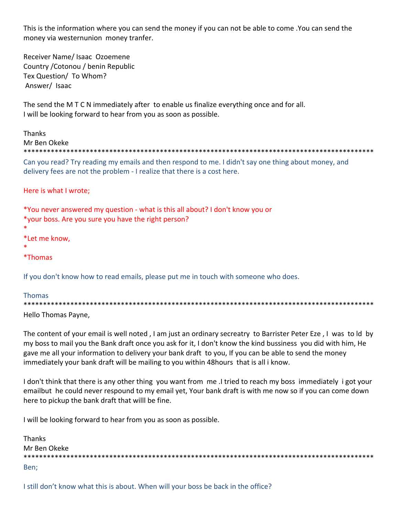This is the information where you can send the money if you can not be able to come .You can send the money via westernunion money tranfer.

Receiver Name/ Isaac Ozoemene Country /Cotonou / benin Republic Tex Question/ To Whom? Answer/ Isaac

The send the M T C N immediately after to enable us finalize everything once and for all. I will be looking forward to hear from you as soon as possible.

Thanks Mr Ben Okeke \*\*\*\*\*\*\*\*\*\*\*\*\*\*\*\*\*\*\*\*\*\*\*\*\*\*\*\*\*\*\*\*\*\*\*\*\*\*\*\*\*\*\*\*\*\*\*\*\*\*\*\*\*\*\*\*\*\*\*\*\*\*\*\*\*\*\*\*\*\*\*\*\*\*\*\*\*\*\*\*\*\*\*\*\*\*\*\*\*\* Can you read? Try reading my emails and then respond to me. I didn't say one thing about money, and delivery fees are not the problem ‐ I realize that there is a cost here. Here is what I wrote; \*You never answered my question ‐ what is this all about? I don't know you or \*your boss. Are you sure you have the right person? \* \*Let me know, \* \*Thomas If you don't know how to read emails, please put me in touch with someone who does. Thomas \*\*\*\*\*\*\*\*\*\*\*\*\*\*\*\*\*\*\*\*\*\*\*\*\*\*\*\*\*\*\*\*\*\*\*\*\*\*\*\*\*\*\*\*\*\*\*\*\*\*\*\*\*\*\*\*\*\*\*\*\*\*\*\*\*\*\*\*\*\*\*\*\*\*\*\*\*\*\*\*\*\*\*\*\*\*\*\*\*\*

Hello Thomas Payne,

The content of your email is well noted , I am just an ordinary secreatry to Barrister Peter Eze , I was to ld by my boss to mail you the Bank draft once you ask for it, I don't know the kind bussiness you did with him, He gave me all your information to delivery your bank draft to you, If you can be able to send the money immediately your bank draft will be mailing to you within 48hours that is all i know.

I don't think that there is any other thing you want from me .I tried to reach my boss immediately i got your emailbut he could never respound to my email yet, Your bank draft is with me now so if you can come down here to pickup the bank draft that willl be fine.

I will be looking forward to hear from you as soon as possible.

| <b>Thanks</b> |
|---------------|
| Mr Ben Okeke  |
|               |
| Ben;          |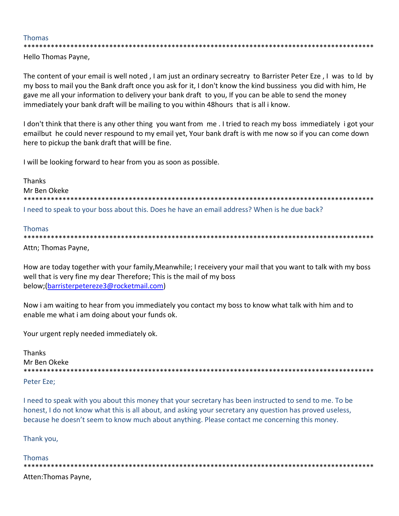#### **Thomas**

Hello Thomas Payne,

The content of your email is well noted, I am just an ordinary secreatry to Barrister Peter Eze, I was to ld by my boss to mail you the Bank draft once you ask for it, I don't know the kind bussiness you did with him, He gave me all your information to delivery your bank draft to you, If you can be able to send the money immediately your bank draft will be mailing to you within 48 hours that is all i know.

I don't think that there is any other thing you want from me. I tried to reach my boss immediately i got your emailbut he could never respound to my email yet, Your bank draft is with me now so if you can come down here to pickup the bank draft that willl be fine.

I will be looking forward to hear from you as soon as possible.

**Thanks** Mr Ben Okeke \*\*\*\*\*\*\*\*\*\*\*\*\*\*\*\*\*\*\*\*\*\*\*\*\*\*\* I need to speak to your boss about this. Does he have an email address? When is he due back?

#### **Thomas**

Attn; Thomas Payne,

How are today together with your family, Meanwhile; I receivery your mail that you want to talk with my boss well that is very fine my dear Therefore; This is the mail of my boss below; (barristerpetereze3@rocketmail.com)

Now i am waiting to hear from you immediately you contact my boss to know what talk with him and to enable me what i am doing about your funds ok.

Your urgent reply needed immediately ok.

**Thanks** Mr Ben Okeke 

Peter Eze:

I need to speak with you about this money that your secretary has been instructed to send to me. To be honest, I do not know what this is all about, and asking your secretary any question has proved useless, because he doesn't seem to know much about anything. Please contact me concerning this money.

Thank you,

**Thomas** Atten: Thomas Payne,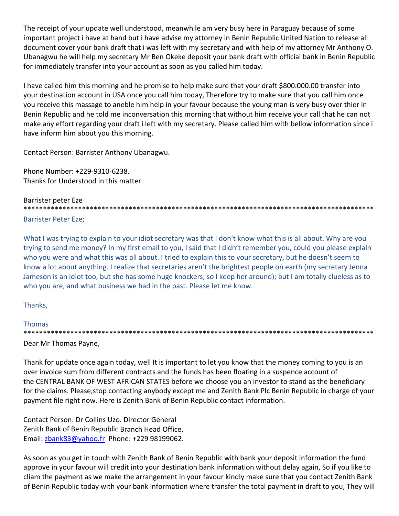The receipt of your update well understood, meanwhile am very busy here in Paraguay because of some important project i have at hand but i have advise my attorney in Benin Republic United Nation to release all document cover your bank draft that i was left with my secretary and with help of my attorney Mr Anthony O. Ubanagwu he will help my secretary Mr Ben Okeke deposit your bank draft with official bank in Benin Republic for immediately transfer into your account as soon as you called him today.

I have called him this morning and he promise to help make sure that your draft \$800.000.00 transfer into your destination account in USA once you call him today, Therefore try to make sure that you call him once you receive this massage to aneble him help in your favour because the young man is very busy over thier in Benin Republic and he told me inconversation this morning that without him receive your call that he can not make any effort regarding your draft i left with my secretary. Please called him with bellow information since i have inform him about you this morning.

Contact Person: Barrister Anthony Ubanagwu.

Phone Number: +229‐9310‐6238. Thanks for Understood in this matter.

# Barrister peter Eze \*\*\*\*\*\*\*\*\*\*\*\*\*\*\*\*\*\*\*\*\*\*\*\*\*\*\*\*\*\*\*\*\*\*\*\*\*\*\*\*\*\*\*\*\*\*\*\*\*\*\*\*\*\*\*\*\*\*\*\*\*\*\*\*\*\*\*\*\*\*\*\*\*\*\*\*\*\*\*\*\*\*\*\*\*\*\*\*\*\*

Barrister Peter Eze;

What I was trying to explain to your idiot secretary was that I don't know what this is all about. Why are you trying to send me money? In my first email to you, I said that I didn't remember you, could you please explain who you were and what this was all about. I tried to explain this to your secretary, but he doesn't seem to know a lot about anything. I realize that secretaries aren't the brightest people on earth (my secretary Jenna Jameson is an idiot too, but she has some huge knockers, so I keep her around); but I am totally clueless as to who you are, and what business we had in the past. Please let me know.

# Thanks,

#### Thomas \*\*\*\*\*\*\*\*\*\*\*\*\*\*\*\*\*\*\*\*\*\*\*\*\*\*\*\*\*\*\*\*\*\*\*\*\*\*\*\*\*\*\*\*\*\*\*\*\*\*\*\*\*\*\*\*\*\*\*\*\*\*\*\*\*\*\*\*\*\*\*\*\*\*\*\*\*\*\*\*\*\*\*\*\*\*\*\*\*\*

# Dear Mr Thomas Payne,

Thank for update once again today, well It is important to let you know that the money coming to you is an over invoice sum from different contracts and the funds has been floating in a suspence account of the CENTRAL BANK OF WEST AFRICAN STATES before we choose you an investor to stand as the beneficiary for the claims. Please,stop contacting anybody except me and Zenith Bank Plc Benin Republic in charge of your payment file right now. Here is Zenith Bank of Benin Republic contact information.

Contact Person: Dr Collins Uzo. Director General Zenith Bank of Benin Republic Branch Head Office. Email: zbank83@yahoo.fr Phone: +229 98199062.

As soon as you get in touch with Zenith Bank of Benin Republic with bank your deposit information the fund approve in your favour will credit into your destination bank information without delay again, So if you like to cliam the payment as we make the arrangement in your favour kindly make sure that you contact Zenith Bank of Benin Republic today with your bank information where transfer the total payment in draft to you, They will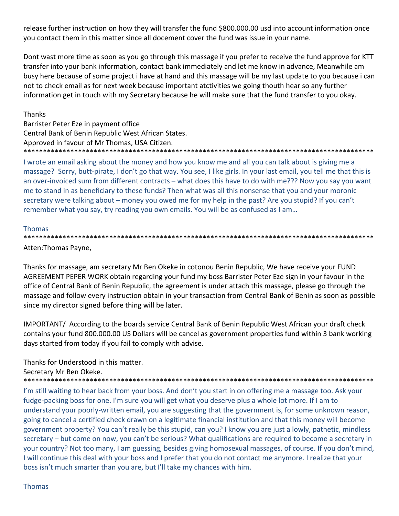release further instruction on how they will transfer the fund \$800.000.00 usd into account information once you contact them in this matter since all docement cover the fund was issue in your name.

Dont wast more time as soon as you go through this massage if you prefer to receive the fund approve for KTT transfer into your bank information, contact bank immediately and let me know in advance, Meanwhile am busy here because of some project i have at hand and this massage will be my last update to you because i can not to check email as for next week because important atctivities we going thouth hear so any further information get in touch with my Secretary because he will make sure that the fund transfer to you okay.

# Thanks

Barrister Peter Eze in payment office Central Bank of Benin Republic West African States. Approved in favour of Mr Thomas, USA Citizen. \*\*\*\*\*\*\*\*\*\*\*\*\*\*\*\*\*\*\*\*\*\*\*\*\*\*\*\*\*\*\*\*\*\*\*\*\*\*\*\*\*\*\*\*\*\*\*\*\*\*\*\*\*\*\*\*\*\*\*\*\*\*\*\*\*\*\*\*\*\*\*\*\*\*\*\*\*\*\*\*\*\*\*\*\*\*\*\*\*\*

I wrote an email asking about the money and how you know me and all you can talk about is giving me a massage? Sorry, butt-pirate, I don't go that way. You see, I like girls. In your last email, you tell me that this is an over‐invoiced sum from different contracts – what does this have to do with me??? Now you say you want me to stand in as beneficiary to these funds? Then what was all this nonsense that you and your moronic secretary were talking about – money you owed me for my help in the past? Are you stupid? If you can't remember what you say, try reading you own emails. You will be as confused as I am…

#### Thomas

\*\*\*\*\*\*\*\*\*\*\*\*\*\*\*\*\*\*\*\*\*\*\*\*\*\*\*\*\*\*\*\*\*\*\*\*\*\*\*\*\*\*\*\*\*\*\*\*\*\*\*\*\*\*\*\*\*\*\*\*\*\*\*\*\*\*\*\*\*\*\*\*\*\*\*\*\*\*\*\*\*\*\*\*\*\*\*\*\*\*

Atten:Thomas Payne,

Thanks for massage, am secretary Mr Ben Okeke in cotonou Benin Republic, We have receive your FUND AGREEMENT PEPER WORK obtain regarding your fund my boss Barrister Peter Eze sign in your favour in the office of Central Bank of Benin Republic, the agreement is under attach this massage, please go through the massage and follow every instruction obtain in your transaction from Central Bank of Benin as soon as possible since my director signed before thing will be later.

IMPORTANT/ According to the boards service Central Bank of Benin Republic West African your draft check contains your fund 800.000.00 US Dollars will be cancel as government properties fund within 3 bank working days started from today if you fail to comply with advise.

Thanks for Understood in this matter.

Secretary Mr Ben Okeke.

\*\*\*\*\*\*\*\*\*\*\*\*\*\*\*\*\*\*\*\*\*\*\*\*\*\*\*\*\*\*\*\*\*\*\*\*\*\*\*\*\*\*\*\*\*\*\*\*\*\*\*\*\*\*\*\*\*\*\*\*\*\*\*\*\*\*\*\*\*\*\*\*\*\*\*\*\*\*\*\*\*\*\*\*\*\*\*\*\*\* I'm still waiting to hear back from your boss. And don't you start in on offering me a massage too. Ask your

fudge‐packing boss for one. I'm sure you will get what you deserve plus a whole lot more. If I am to understand your poorly-written email, you are suggesting that the government is, for some unknown reason, going to cancel a certified check drawn on a legitimate financial institution and that this money will become government property? You can't really be this stupid, can you? I know you are just a lowly, pathetic, mindless secretary – but come on now, you can't be serious? What qualifications are required to become a secretary in your country? Not too many, I am guessing, besides giving homosexual massages, of course. If you don't mind, I will continue this deal with your boss and I prefer that you do not contact me anymore. I realize that your boss isn't much smarter than you are, but I'll take my chances with him.